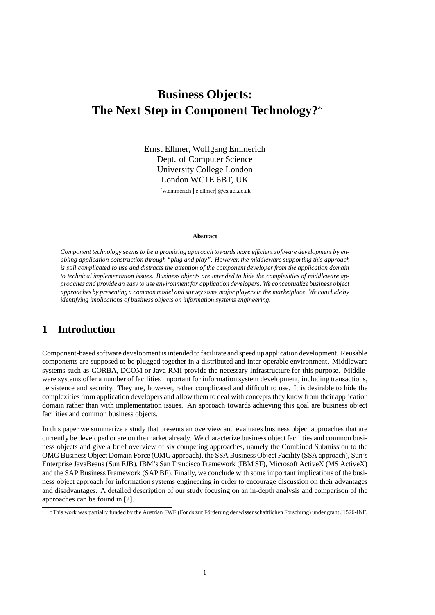# **Business Objects: The Next Step in Component Technology?**

Ernst Ellmer, Wolfgang Emmerich Dept. of Computer Science University College London London WC1E 6BT, UK

{w.emmerich | e.ellmer}@cs.ucl.ac.uk

#### **Abstract**

*Component technology seems to be a promising approach towards more efficient software development by enabling application construction through "plug and play". However, the middleware supporting this approach is still complicated to use and distracts the attention of the component developer from the application domain to technical implementation issues. Business objects are intended to hide the complexities of middleware approaches and provide an easy to use environment for application developers. We conceptualize business object approaches by presenting a common model and survey some major players in the marketplace. We conclude by identifying implications of business objects on information systems engineering.*

### **1 Introduction**

Component-based software development is intended to facilitate and speed up application development. Reusable components are supposed to be plugged together in a distributed and inter-operable environment. Middleware systems such as CORBA, DCOM or Java RMI provide the necessary infrastructure for this purpose. Middleware systems offer a number of facilities important for information system development, including transactions, persistence and security. They are, however, rather complicated and difficult to use. It is desirable to hide the complexities from application developers and allow them to deal with concepts they know from their application domain rather than with implementation issues. An approach towards achieving this goal are business object facilities and common business objects.

In this paper we summarize a study that presents an overview and evaluates business object approaches that are currently be developed or are on the market already. We characterize business object facilities and common business objects and give a brief overview of six competing approaches, namely the Combined Submission to the OMG Business Object Domain Force (OMG approach), the SSA Business Object Facility (SSA approach), Sun's Enterprise JavaBeans (Sun EJB), IBM's San Francisco Framework (IBM SF), Microsoft ActiveX (MS ActiveX) and the SAP Business Framework (SAP BF). Finally, we conclude with some important implications of the business object approach for information systems engineering in order to encourage discussion on their advantages and disadvantages. A detailed description of our study focusing on an in-depth analysis and comparison of the approaches can be found in [2].

<sup>\*</sup>This work was partially funded by the Austrian FWF (Fonds zur Förderung der wissenschaftlichen Forschung) under grant J1526-INF.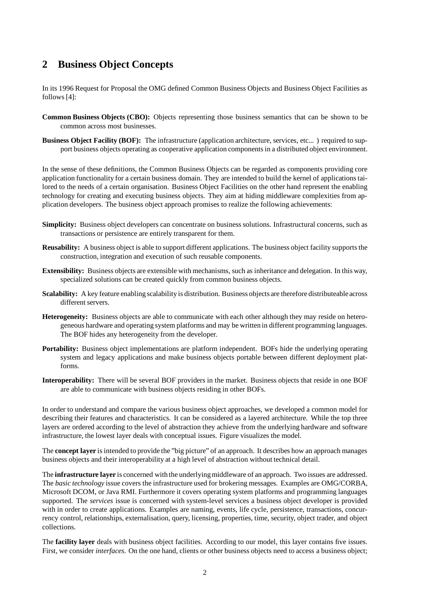### **2 Business Object Concepts**

In its 1996 Request for Proposal the OMG defined Common Business Objects and Business Object Facilities as follows [4]:

- **Common Business Objects (CBO):** Objects representing those business semantics that can be shown to be common across most businesses.
- **Business Object Facility (BOF):** The infrastructure (application architecture, services, etc... ) required to support business objects operating as cooperative application components in a distributed object environment.

In the sense of these definitions, the Common Business Objects can be regarded as components providing core application functionality for a certain business domain. They are intended to build the kernel of applications tailored to the needs of a certain organisation. Business Object Facilities on the other hand represent the enabling technology for creating and executing business objects. They aim at hiding middleware complexities from application developers. The business object approach promises to realize the following achievements:

- **Simplicity:** Business object developers can concentrate on business solutions. Infrastructural concerns, such as transactions or persistence are entirely transparent for them.
- **Reusability:** A business object is able to support different applications. The business object facility supports the construction, integration and execution of such reusable components.
- **Extensibility:** Business objects are extensible with mechanisms, such as inheritance and delegation. In this way, specialized solutions can be created quickly from common business objects.
- **Scalability:** A key feature enabling scalability is distribution. Business objects are therefore distributeable across different servers.
- **Heterogeneity:** Business objects are able to communicate with each other although they may reside on heterogeneous hardware and operating system platforms and may be written in different programming languages. The BOF hides any heterogeneity from the developer.
- **Portability:** Business object implementations are platform independent. BOFs hide the underlying operating system and legacy applications and make business objects portable between different deployment platforms.
- **Interoperability:** There will be several BOF providers in the market. Business objects that reside in one BOF are able to communicate with business objects residing in other BOFs.

In order to understand and compare the various business object approaches, we developed a common model for describing their features and characteristics. It can be considered as a layered architecture. While the top three layers are ordered according to the level of abstraction they achieve from the underlying hardware and software infrastructure, the lowest layer deals with conceptual issues. Figure visualizes the model.

The **concept layer** is intended to provide the "big picture" of an approach. It describes how an approach manages business objects and their interoperability at a high level of abstraction without technical detail.

The **infrastructure layer** is concerned with the underlyingmiddleware of an approach. Two issues are addressed. The *basic technology* issue covers the infrastructure used for brokering messages. Examples are OMG/CORBA, Microsoft DCOM, or Java RMI. Furthermore it covers operating system platforms and programming languages supported. The *services* issue is concerned with system-level services a business object developer is provided with in order to create applications. Examples are naming, events, life cycle, persistence, transactions, concurrency control, relationships, externalisation, query, licensing, properties, time, security, object trader, and object collections.

The **facility layer** deals with business object facilities. According to our model, this layer contains five issues. First, we consider *interfaces*. On the one hand, clients or other business objects need to access a business object;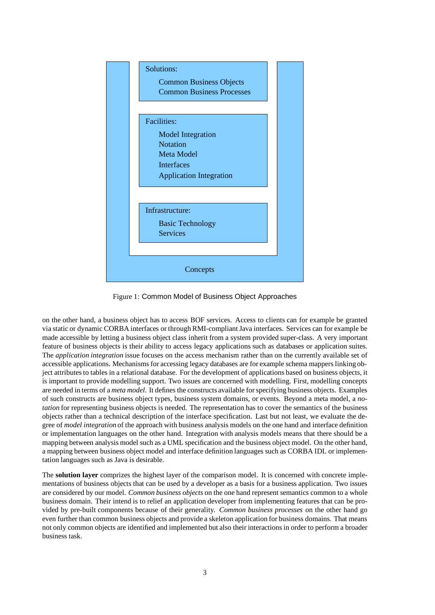

Figure 1: Common Model of Business Object Approaches

on the other hand, a business object has to access BOF services. Access to clients can for example be granted via static or dynamic CORBA interfaces or through RMI-compliant Java interfaces. Services can for example be made accessible by letting a business object class inherit from a system provided super-class. A very important feature of business objects is their ability to access legacy applications such as databases or application suites. The *application integration* issue focuses on the access mechanism rather than on the currently available set of accessible applications. Mechanisms for accessing legacy databases are for example schema mappers linking object attributes to tables in a relational database. For the development of applications based on business objects, it is important to provide modelling support. Two issues are concerned with modelling. First, modelling concepts are needed in terms of a *meta model*. It defines the constructs available for specifying business objects. Examples of such constructs are business object types, business system domains, or events. Beyond a meta model, a *notation* for representing business objects is needed. The representation has to cover the semantics of the business objects rather than a technical description of the interface specification. Last but not least, we evaluate the degree of *model integration* of the approach with business analysis models on the one hand and interface definition or implementation languages on the other hand. Integration with analysis models means that there should be a mapping between analysis model such as a UML specification and the business object model. On the other hand, a mapping between business object model and interface definition languages such as CORBA IDL or implementation languages such as Java is desirable.

The **solution layer** comprizes the highest layer of the comparison model. It is concerned with concrete implementations of business objects that can be used by a developer as a basis for a business application. Two issues are considered by our model. *Common business objects* on the one hand represent semantics common to a whole business domain. Their intend is to relief an application developer from implementing features that can be provided by pre-built components because of their generality. *Common business processes* on the other hand go even further than common business objects and provide a skeleton application for business domains. That means not only common objects are identified and implemented but also their interactions in order to perform a broader business task.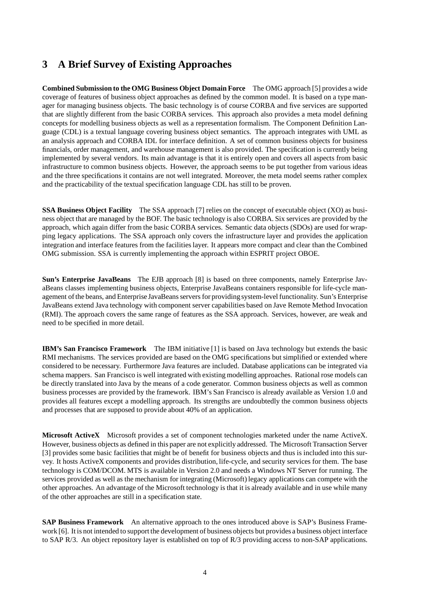### **3 A Brief Survey of Existing Approaches**

**Combined Submission to the OMG Business Object Domain Force** The OMG approach [5] provides a wide coverage of features of business object approaches as defined by the common model. It is based on a type manager for managing business objects. The basic technology is of course CORBA and five services are supported that are slightly different from the basic CORBA services. This approach also provides a meta model defining concepts for modelling business objects as well as a representation formalism. The Component Definition Language (CDL) is a textual language covering business object semantics. The approach integrates with UML as an analysis approach and CORBA IDL for interface definition. A set of common business objects for business financials, order management, and warehouse management is also provided. The specification is currently being implemented by several vendors. Its main advantage is that it is entirely open and covers all aspects from basic infrastructure to common business objects. However, the approach seems to be put together from various ideas and the three specifications it contains are not well integrated. Moreover, the meta model seems rather complex and the practicability of the textual specification language CDL has still to be proven.

**SSA Business Object Facility** The SSA approach [7] relies on the concept of executable object (XO) as business object that are managed by the BOF. The basic technology is also CORBA. Six services are provided by the approach, which again differ from the basic CORBA services. Semantic data objects (SDOs) are used for wrapping legacy applications. The SSA approach only covers the infrastructure layer and provides the application integration and interface features from the facilities layer. It appears more compact and clear than the Combined OMG submission. SSA is currently implementing the approach within ESPRIT project OBOE.

**Sun's Enterprise JavaBeans** The EJB approach [8] is based on three components, namely Enterprise JavaBeans classes implementing business objects, Enterprise JavaBeans containers responsible for life-cycle management of the beans, and Enterprise JavaBeans servers for providingsystem-level functionality. Sun's Enterprise JavaBeans extend Java technology with component server capabilities based on Jave Remote Method Invocation (RMI). The approach covers the same range of features as the SSA approach. Services, however, are weak and need to be specified in more detail.

**IBM's San Francisco Framework** The IBM initiative [1] is based on Java technology but extends the basic RMI mechanisms. The services provided are based on the OMG specifications but simplified or extended where considered to be necessary. Furthermore Java features are included. Database applications can be integrated via schema mappers. San Francisco is well integrated with existing modelling approaches. Rational rose models can be directly translated into Java by the means of a code generator. Common business objects as well as common business processes are provided by the framework. IBM's San Francisco is already available as Version 1.0 and provides all features except a modelling approach. Its strengths are undoubtedly the common business objects and processes that are supposed to provide about 40% of an application.

**Microsoft ActiveX** Microsoft provides a set of component technologies marketed under the name ActiveX. However, business objects as defined in this paper are not explicitly addressed. The Microsoft Transaction Server [3] provides some basic facilities that might be of benefit for business objects and thus is included into this survey. It hosts ActiveX components and provides distribution, life-cycle, and security services for them. The base technology is COM/DCOM. MTS is available in Version 2.0 and needs a Windows NT Server for running. The services provided as well as the mechanism for integrating (Microsoft) legacy applications can compete with the other approaches. An advantage of the Microsoft technology is that it is already available and in use while many of the other approaches are still in a specification state.

**SAP Business Framework** An alternative approach to the ones introduced above is SAP's Business Framework [6]. It is not intended to support the development of business objects but provides a business object interface to SAP R/3. An object repository layer is established on top of R/3 providing access to non-SAP applications.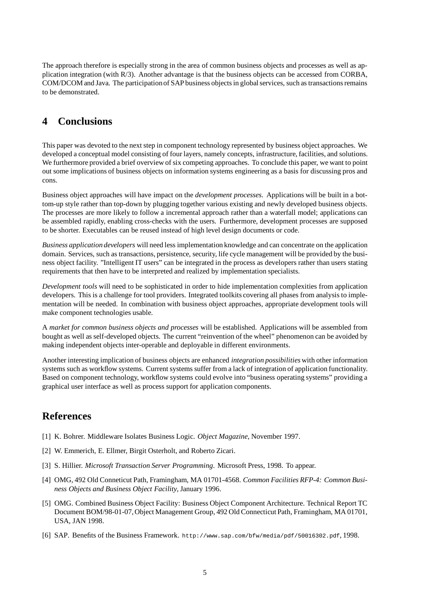The approach therefore is especially strong in the area of common business objects and processes as well as application integration (with R/3). Another advantage is that the business objects can be accessed from CORBA, COM/DCOM and Java. The participationof SAP business objects in global services, such as transactions remains to be demonstrated.

#### **4 Conclusions**

This paper was devoted to the next step in component technology represented by business object approaches. We developed a conceptual model consisting of four layers, namely concepts, infrastructure, facilities, and solutions. We furthermore provided a brief overview of six competing approaches. To conclude this paper, we want to point out some implications of business objects on information systems engineering as a basis for discussing pros and cons.

Business object approaches will have impact on the *development processes*. Applications will be built in a bottom-up style rather than top-down by plugging together various existing and newly developed business objects. The processes are more likely to follow a incremental approach rather than a waterfall model; applications can be assembled rapidly, enabling cross-checks with the users. Furthermore, development processes are supposed to be shorter. Executables can be reused instead of high level design documents or code.

*Business application developers* will need less implementation knowledge and can concentrate on the application domain. Services, such as transactions, persistence, security, life cycle management will be provided by the business object facility. "Intelligent IT users" can be integrated in the process as developers rather than users stating requirements that then have to be interpreted and realized by implementation specialists.

*Development tools* will need to be sophisticated in order to hide implementation complexities from application developers. This is a challenge for tool providers. Integrated toolkits covering all phases from analysis to implementation will be needed. In combination with business object approaches, appropriate development tools will make component technologies usable.

A *market for common business objects and processes* will be established. Applications will be assembled from bought as well as self-developed objects. The current "reinvention of the wheel" phenomenon can be avoided by making independent objects inter-operable and deployable in different environments.

Another interesting implication of business objects are enhanced *integration possibilities* with other information systems such as workflow systems. Current systems suffer from a lack of integration of application functionality. Based on component technology, workflow systems could evolve into "business operating systems" providing a graphical user interface as well as process support for application components.

## **References**

- [1] K. Bohrer. Middleware Isolates Business Logic. *Object Magazine*, November 1997.
- [2] W. Emmerich, E. Ellmer, Birgit Osterholt, and Roberto Zicari.
- [3] S. Hillier. *Microsoft Transaction Server Programming*. Microsoft Press, 1998. To appear.
- [4] OMG, 492 Old Conneticut Path, Framingham, MA 01701-4568. *Common Facilities RFP-4: Common Business Objects and Business Object Facility*, January 1996.
- [5] OMG. Combined Business Object Facility: Business Object Component Architecture. Technical Report TC Document BOM/98-01-07, Object Management Group, 492 Old Connecticut Path, Framingham, MA 01701, USA, JAN 1998.
- [6] SAP. Benefits of the Business Framework. http://www.sap.com/bfw/media/pdf/50016302.pdf, 1998.